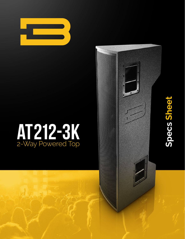

# AT212-3K 2-Way Powered Top

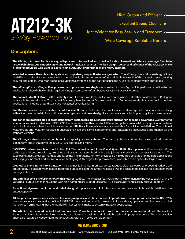

Wide Coverage Rotatable Horn o-

#### **Description:**

**The AT212-3K Attuned Top is a 2-way, self-powered, bi-amplified loudspeaker for short to medium distance coverage. Simple to use, with high output, smooth sound and natural musical character. The light weight, power and efficiency of the AT212-3K make it ideal for providers who want to deliver high output but prefer not to move heavy cabinets.**

**Intended for use with a subwoofer system to complete a 3-way active full-range system.** The AT212-3K has a tall, slim design allows the HF horn to stand above crowds when the cabinet is stacked on subwoofers and the light weight of the cabinet makes stacking easy for one person. One-man set up of a substantial system is made easy because the AT212-3K cabinets weigh only 89 lbs.

**The AT212-3K is a 2-Way active, powered and processed mid-high loudspeaker.** At only 89 lbs it is particularly well suited to applications where light weight is required. One-person set-up of a substantial system is easy and quick.

**The cabinet is built of 15mm Baltic Birch plywood**. It features an 18mm baffle, with dado joinery, 4 steel bar handles, and a 15 degree side angle trapezoid shape. The cabinet features 5 handles and 8 fly points, with 80 x 60 degree rotatable coverage for multiple applications including ground stack and horizontal or vertical flying.

**Weatherized versions are available for outdoor installations.** Rack-mounted amplification and waterproof input connections along with a fiberglass underlaid finish, silicone sealed gaskets, stainless steel grill and hardware and a hydrophobic grill cloth are optional.

**The cones are waterproofed to protect them from accidental exposure to moisture such as rain or spilled beverages.** Waterproofed woofer cones are included in all BASSBOSS loudspeakers. Weather resistant, IP rated amplifiers are available for applications where rain might be encountered, and fully weatherized RP (Rack Powered) versions are available for outdoor installations. The optional weatherized and weather resistant loudspeakers have the same components and outstanding acoustical performance as the standard versions.

**The AT212-3K cabinets can be combined in arrays of 3 or more cabinets.** The horn can be rotated and the boxes packed side-byside to form arrays that cover 90, 120, 150, 180 degrees and more.

**BASSBOSS cabinets are hand-built in the USA. The cabinet is built from 18 and 15mm Baltic Birch plywood.** It features an 18mm baffle, top and bottom, with 15mm sides and braces, all assembled with dado joinery and advanced, composite adhesives. The cabinet includes 4 steel bar-handles and fly points. The rotatable HF horn provides 80 x 60 degree coverage for multiple applications including ground stack and horizontal or vertical flying. A 30-degree long-throw horn is available as an option for large arrays.

**Created to stand up to intense usage**. The cabinet is finished in an extremely rugged, black polyurethane coating. Drivers are protected by a black powder coated, perforated steel grill, and the amp is recessed into the back of the cabinet for protection from damage in transit.

**The amplifier consists of 2 channels with a total of 3,000W.** The amplifier features extremely high dynamic power capacity, with 150 Volts peak output per channel, along with high damping of >10000:1 Efficient, PFC power supply and class D output topology.

**Exceptional dynamic resolution and detail along with precise control.** It offers low current draw and light weight relative to the output capacity.

**All the processing necessary for linear frequency response and phase coherent operation are pre-programmed into the DSP.** With the comprehensive processing built in, BASSBOSS loudspeakers provide the ease of plug-and-play operation and the peace of mind that comes from knowing that the multiple limiter systems make to system virtually indestructible.

**The AT212-3K is a vented cabinet that features two 12" woofers and a 1.4" throat, horn-loaded compression driver.** The woofers feature 4" voice coils, Neodymium magnets, cast aluminum baskets and ultra-light carbon-impregnated cones. The compression driver also features a Neodymium motor structure with a 2.5" voice coil diaphragm.

#### **www.bassboss.com**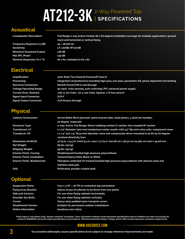# AT212-3K<sup>2-Way Powered Top</sup>

### **Acoustical**

**Loudspeaker Description: Full Range 2-way Active Vented, 80 x 60 degree (rotatable) coverage for multiple applications: ground** 

|                                  | stack and horizontal or vertical flying |
|----------------------------------|-----------------------------------------|
| Frequency Response (±3 dB):      | $45 - 18,000$ Hz                        |
| <b>Sensitivity:</b>              | LF: 107dB; HF:107dB                     |
| <b>Maximum Sustained Output:</b> | 136 dB                                  |
| Max SPL (Peak)*                  | 139 dB                                  |
| Nominal Dispersion ('H x 'V):    | 80 x 60, rotatable to 60 x 80           |
|                                  |                                         |

# **Electrical**

| <b>Amplification:</b>           | 3000 Watt Two Channel Powersoft Class D                                                             |
|---------------------------------|-----------------------------------------------------------------------------------------------------|
| Processing:                     | Integrated comprehensive including high-pass, low-pass, parametric EQ, phase alignment and limiting |
| <b>Electrical Connectors:</b>   | <b>Neutrik PowerCON in and through</b>                                                              |
| <b>Voltage Operating Range:</b> | 90-250V. Auto-sensing, auto-switching, PFC universal power supply                                   |
| <b>Current Draw, Nominal:</b>   | 3.6A @ 120 Volts; 2A @ 220 Volts, (typical, 1/8 max power)                                          |
| <b>Signal Input Connector:</b>  | <b>XLR-F</b>                                                                                        |
| <b>Signal Output Connector:</b> | <b>XLR-M pass-through</b>                                                                           |
|                                 |                                                                                                     |

## **Physical**

| <b>Cabinet Construction:</b>          | 18 mm Baltic Birch plywood, 15mm braced sides, dado joinery, 4 steel bar handles,                                               |  |
|---------------------------------------|---------------------------------------------------------------------------------------------------------------------------------|--|
|                                       | 30 degree trapezoid                                                                                                             |  |
| <b>Enclosure Type:</b>                | 2-way, Active, Full Range. Direct radiating vented LF section, horn-loaded HF section                                           |  |
| <b>Transducers, LF:</b>               | 2 x 12" diameter (300 mm) neodymium motor woofer with 3.5" (89 mm) voice coils, waterproof cones                                |  |
| <b>Transducer, HF:</b>                | 1 x 1.4" exit, 2.5" (63.5 mm) diameter voice coil compression driver mounted to an 80 by 60 degree<br>constant directivity horn |  |
| Dimensions (HxWxD):                   | 47.75 in. x 14.3 in. front (5.3 in. rear) x 17.75 in. (121.28 cm x 36.32 cm [13.462 cm rear] x 45.08 cm)                        |  |
| Net Weight:                           | 89 lbs. (40 kg)                                                                                                                 |  |
| <b>Shipping Weight:</b>               | 99 lbs. (45 kg)                                                                                                                 |  |
| <b>Exterior Finish, Touring:</b>      | Weatherproof bonded high-pressure polyurethane                                                                                  |  |
| <b>Exterior Finish, Installation:</b> | <b>Textured Epoxy Paint, Black or White</b>                                                                                     |  |
| <b>Exterior Finish, Weatherized:</b>  | Fiberglass underlaid UV treated bonded high-pressure polyurethane with silicone seals and                                       |  |
|                                       | stainless steel grill                                                                                                           |  |
| Grill:                                | Perforated, powder-coated steel                                                                                                 |  |

# **Optional**

| <b>Suspension Points:</b>    | Four $x$ $3/8$ " – 16 TPI on centerline top and bottom |
|------------------------------|--------------------------------------------------------|
| <b>Flying Array Bracket:</b> | Allows arrays of cabinets to be flown from two points  |
| <b>Side-pull Anchors:</b>    | For use when flying cabinets horizontally              |
| <b>Shoulder Eve Bolts:</b>   | For use when flying cabinets vertically                |
| Covers:                      | Heavy-duty padded nylon transport covers               |
| <b>Weatherized Version:</b>  | Suitable for permanent outdoor installations           |
| <b>Online Information:</b>   | bassboss.com/at212                                     |

"Peak output is calculated using "industry standard" techniques. These calculation methods create theoretical specifications that are inflated over what can actually be<br>achieved. BASSBOSS real world output specifications a

#### **www.bassboss.com**